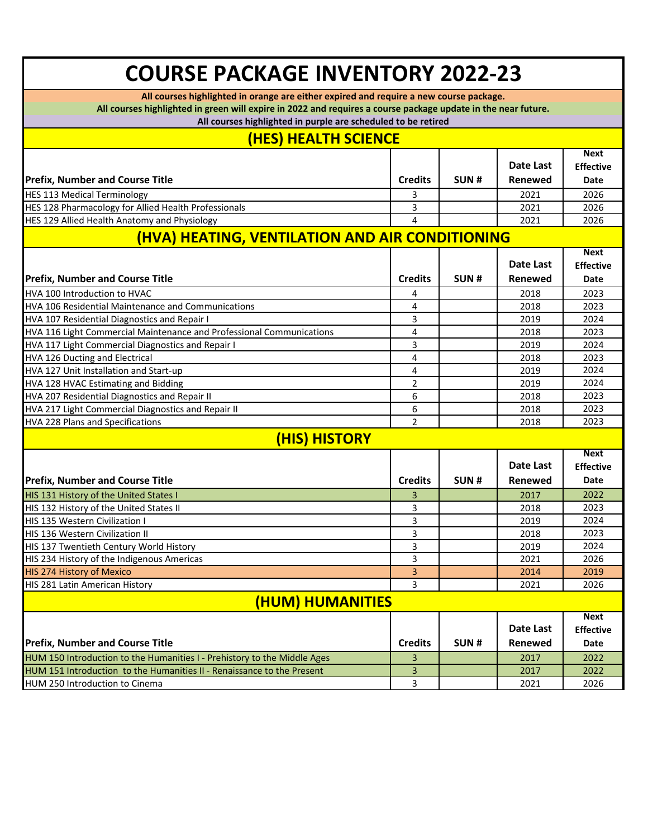## **COURSE PACKAGE INVENTORY 2022-23**

**All courses highlighted in orange are either expired and require a new course package.**

**All courses highlighted in green will expire in 2022 and requires a course package update in the near future.**

**All courses highlighted in purple are scheduled to be retired**

## **(HES) HEALTH SCIENCE**

|                                                                          |                |      |                  | <b>Next</b>      |  |  |  |
|--------------------------------------------------------------------------|----------------|------|------------------|------------------|--|--|--|
|                                                                          |                |      | Date Last        | <b>Effective</b> |  |  |  |
| <b>Prefix, Number and Course Title</b>                                   | <b>Credits</b> | SUN# | Renewed          | Date             |  |  |  |
| <b>HES 113 Medical Terminology</b>                                       | 3              |      | 2021             | 2026             |  |  |  |
| HES 128 Pharmacology for Allied Health Professionals                     | 3              |      | 2021             | 2026             |  |  |  |
| HES 129 Allied Health Anatomy and Physiology                             | 4              |      | 2021             | 2026             |  |  |  |
| (HVA) HEATING, VENTILATION AND AIR CONDITIONING                          |                |      |                  |                  |  |  |  |
|                                                                          |                |      |                  | <b>Next</b>      |  |  |  |
|                                                                          |                |      | Date Last        | <b>Effective</b> |  |  |  |
| <b>Prefix, Number and Course Title</b>                                   | <b>Credits</b> | SUN# | Renewed          | Date             |  |  |  |
| HVA 100 Introduction to HVAC                                             | 4              |      | 2018             | 2023             |  |  |  |
| <b>HVA 106 Residential Maintenance and Communications</b>                | 4              |      | 2018             | 2023             |  |  |  |
| HVA 107 Residential Diagnostics and Repair I                             | 3              |      | 2019             | 2024             |  |  |  |
| HVA 116 Light Commercial Maintenance and Professional Communications     | 4              |      | 2018             | 2023             |  |  |  |
| HVA 117 Light Commercial Diagnostics and Repair I                        | 3              |      | 2019             | 2024             |  |  |  |
| HVA 126 Ducting and Electrical                                           | 4              |      | 2018             | 2023             |  |  |  |
| HVA 127 Unit Installation and Start-up                                   | 4              |      | 2019             | 2024             |  |  |  |
| HVA 128 HVAC Estimating and Bidding                                      | $\overline{2}$ |      | 2019             | 2024             |  |  |  |
| HVA 207 Residential Diagnostics and Repair II                            | 6              |      | 2018             | 2023             |  |  |  |
| HVA 217 Light Commercial Diagnostics and Repair II                       | 6              |      | 2018             | 2023             |  |  |  |
| <b>HVA 228 Plans and Specifications</b>                                  | $\overline{2}$ |      | 2018             | 2023             |  |  |  |
| (HIS) HISTORY                                                            |                |      |                  |                  |  |  |  |
|                                                                          |                |      |                  | <b>Next</b>      |  |  |  |
|                                                                          |                |      | <b>Date Last</b> | <b>Effective</b> |  |  |  |
| <b>Prefix, Number and Course Title</b>                                   | <b>Credits</b> | SUN# | <b>Renewed</b>   | Date             |  |  |  |
| HIS 131 History of the United States I                                   | 3              |      | 2017             | 2022             |  |  |  |
| HIS 132 History of the United States II                                  | 3              |      | 2018             | 2023             |  |  |  |
| HIS 135 Western Civilization I                                           | 3              |      | 2019             | 2024             |  |  |  |
| HIS 136 Western Civilization II                                          | 3              |      | 2018             | 2023             |  |  |  |
| HIS 137 Twentieth Century World History                                  | 3              |      | 2019             | 2024             |  |  |  |
| HIS 234 History of the Indigenous Americas                               | 3              |      | 2021             | 2026             |  |  |  |
| <b>HIS 274 History of Mexico</b>                                         | 3              |      | 2014             | 2019             |  |  |  |
| HIS 281 Latin American History                                           | 3              |      | 2021             | 2026             |  |  |  |
| <u>(HUM) HUMANITIES</u>                                                  |                |      |                  |                  |  |  |  |
|                                                                          |                |      |                  | <b>Next</b>      |  |  |  |
|                                                                          |                |      | <b>Date Last</b> | <b>Effective</b> |  |  |  |
| <b>Prefix, Number and Course Title</b>                                   | <b>Credits</b> | SUN# | Renewed          | Date             |  |  |  |
| HUM 150 Introduction to the Humanities I - Prehistory to the Middle Ages | 3              |      | 2017             | 2022             |  |  |  |
| HUM 151 Introduction to the Humanities II - Renaissance to the Present   | 3              |      | 2017             | 2022             |  |  |  |
| HUM 250 Introduction to Cinema                                           | 3              |      | 2021             | 2026             |  |  |  |